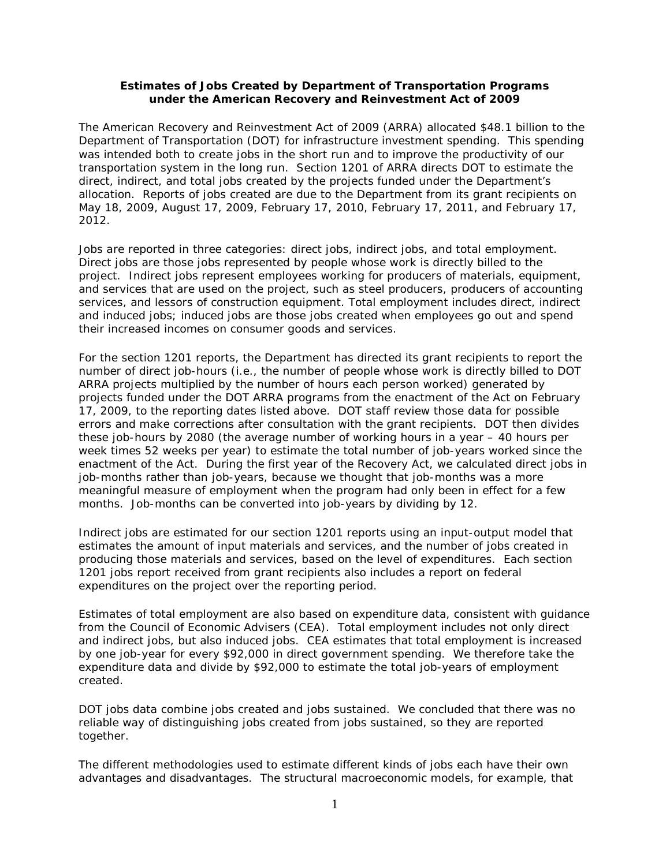## **Estimates of Jobs Created by Department of Transportation Programs under the American Recovery and Reinvestment Act of 2009**

The American Recovery and Reinvestment Act of 2009 (ARRA) allocated \$48.1 billion to the Department of Transportation (DOT) for infrastructure investment spending. This spending was intended both to create jobs in the short run and to improve the productivity of our transportation system in the long run. Section 1201 of ARRA directs DOT to estimate the direct, indirect, and total jobs created by the projects funded under the Department's allocation. Reports of jobs created are due to the Department from its grant recipients on May 18, 2009, August 17, 2009, February 17, 2010, February 17, 2011, and February 17, 2012.

Jobs are reported in three categories: direct jobs, indirect jobs, and total employment. Direct jobs are those jobs represented by people whose work is directly billed to the project. Indirect jobs represent employees working for producers of materials, equipment, and services that are used on the project, such as steel producers, producers of accounting services, and lessors of construction equipment. Total employment includes direct, indirect and induced jobs; induced jobs are those jobs created when employees go out and spend their increased incomes on consumer goods and services.

For the section 1201 reports, the Department has directed its grant recipients to report the number of direct job-hours (i.e., the number of people whose work is directly billed to DOT ARRA projects multiplied by the number of hours each person worked) generated by projects funded under the DOT ARRA programs from the enactment of the Act on February 17, 2009, to the reporting dates listed above. DOT staff review those data for possible errors and make corrections after consultation with the grant recipients. DOT then divides these job-hours by 2080 (the average number of working hours in a year – 40 hours per week times 52 weeks per year) to estimate the total number of job-years worked since the enactment of the Act. During the first year of the Recovery Act, we calculated direct jobs in job-months rather than job-years, because we thought that job-months was a more meaningful measure of employment when the program had only been in effect for a few months. Job-months can be converted into job-years by dividing by 12.

Indirect jobs are estimated for our section 1201 reports using an input-output model that estimates the amount of input materials and services, and the number of jobs created in producing those materials and services, based on the level of expenditures. Each section 1201 jobs report received from grant recipients also includes a report on federal expenditures on the project over the reporting period.

Estimates of total employment are also based on expenditure data, consistent with guidance from the Council of Economic Advisers (CEA). Total employment includes not only direct and indirect jobs, but also induced jobs. CEA estimates that total employment is increased by one job-year for every \$92,000 in direct government spending. We therefore take the expenditure data and divide by \$92,000 to estimate the total job-years of employment created.

DOT jobs data combine jobs created and jobs sustained. We concluded that there was no reliable way of distinguishing jobs created from jobs sustained, so they are reported together.

The different methodologies used to estimate different kinds of jobs each have their own advantages and disadvantages. The structural macroeconomic models, for example, that